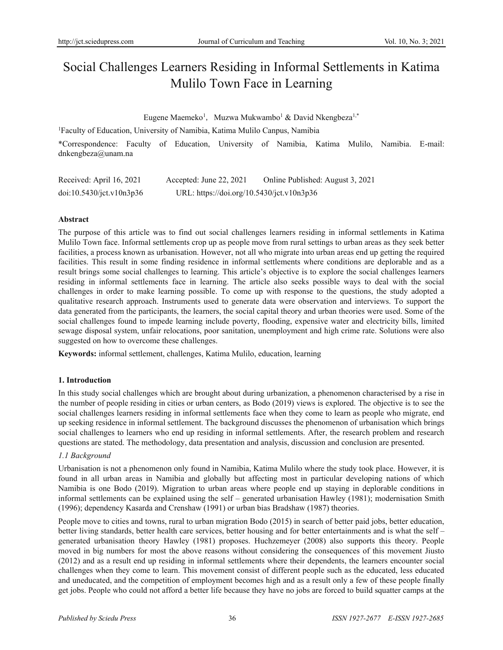# Social Challenges Learners Residing in Informal Settlements in Katima Mulilo Town Face in Learning

Eugene Maemeko<sup>1</sup>, Muzwa Mukwambo<sup>1</sup> & David Nkengbeza<sup>1,\*</sup>

<sup>1</sup>Faculty of Education, University of Namibia, Katima Mulilo Canpus, Namibia

\*Correspondence: Faculty of Education, University of Namibia, Katima Mulilo, Namibia. E-mail: dnkengbeza@unam.na

| Received: April 16, 2021 | Accepted: June 22, 2021                   | Online Published: August 3, 2021 |
|--------------------------|-------------------------------------------|----------------------------------|
| doi:10.5430/jct.v10n3p36 | URL: https://doi.org/10.5430/jct.v10n3p36 |                                  |

## **Abstract**

The purpose of this article was to find out social challenges learners residing in informal settlements in Katima Mulilo Town face. Informal settlements crop up as people move from rural settings to urban areas as they seek better facilities, a process known as urbanisation. However, not all who migrate into urban areas end up getting the required facilities. This result in some finding residence in informal settlements where conditions are deplorable and as a result brings some social challenges to learning. This article's objective is to explore the social challenges learners residing in informal settlements face in learning. The article also seeks possible ways to deal with the social challenges in order to make learning possible. To come up with response to the questions, the study adopted a qualitative research approach. Instruments used to generate data were observation and interviews. To support the data generated from the participants, the learners, the social capital theory and urban theories were used. Some of the social challenges found to impede learning include poverty, flooding, expensive water and electricity bills, limited sewage disposal system, unfair relocations, poor sanitation, unemployment and high crime rate. Solutions were also suggested on how to overcome these challenges.

**Keywords:** informal settlement, challenges, Katima Mulilo, education, learning

## **1. Introduction**

In this study social challenges which are brought about during urbanization, a phenomenon characterised by a rise in the number of people residing in cities or urban centers, as Bodo (2019) views is explored. The objective is to see the social challenges learners residing in informal settlements face when they come to learn as people who migrate, end up seeking residence in informal settlement. The background discusses the phenomenon of urbanisation which brings social challenges to learners who end up residing in informal settlements. After, the research problem and research questions are stated. The methodology, data presentation and analysis, discussion and conclusion are presented.

## *1.1 Background*

Urbanisation is not a phenomenon only found in Namibia, Katima Mulilo where the study took place. However, it is found in all urban areas in Namibia and globally but affecting most in particular developing nations of which Namibia is one Bodo (2019). Migration to urban areas where people end up staying in deplorable conditions in informal settlements can be explained using the self – generated urbanisation Hawley (1981); modernisation Smith (1996); dependency Kasarda and Crenshaw (1991) or urban bias Bradshaw (1987) theories.

People move to cities and towns, rural to urban migration Bodo (2015) in search of better paid jobs, better education, better living standards, better health care services, better housing and for better entertainments and is what the self – generated urbanisation theory Hawley (1981) proposes. Huchzemeyer (2008) also supports this theory. People moved in big numbers for most the above reasons without considering the consequences of this movement Jiusto (2012) and as a result end up residing in informal settlements where their dependents, the learners encounter social challenges when they come to learn. This movement consist of different people such as the educated, less educated and uneducated, and the competition of employment becomes high and as a result only a few of these people finally get jobs. People who could not afford a better life because they have no jobs are forced to build squatter camps at the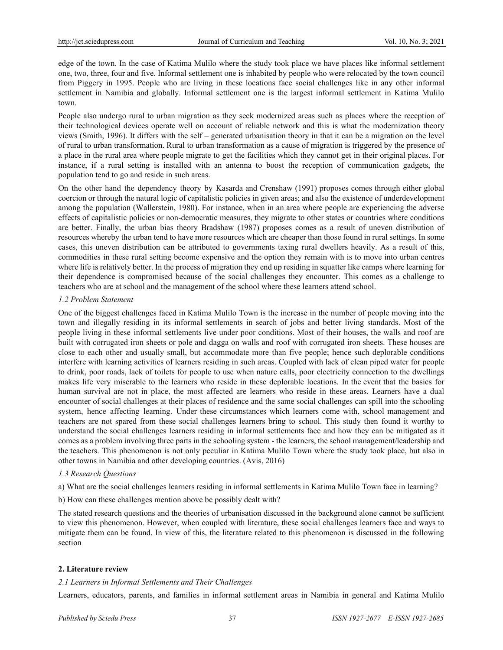edge of the town. In the case of Katima Mulilo where the study took place we have places like informal settlement one, two, three, four and five. Informal settlement one is inhabited by people who were relocated by the town council from Piggery in 1995. People who are living in these locations face social challenges like in any other informal settlement in Namibia and globally. Informal settlement one is the largest informal settlement in Katima Mulilo town.

People also undergo rural to urban migration as they seek modernized areas such as places where the reception of their technological devices operate well on account of reliable network and this is what the modernization theory views (Smith, 1996). It differs with the self – generated urbanisation theory in that it can be a migration on the level of rural to urban transformation. Rural to urban transformation as a cause of migration is triggered by the presence of a place in the rural area where people migrate to get the facilities which they cannot get in their original places. For instance, if a rural setting is installed with an antenna to boost the reception of communication gadgets, the population tend to go and reside in such areas.

On the other hand the dependency theory by Kasarda and Crenshaw (1991) proposes comes through either global coercion or through the natural logic of capitalistic policies in given areas; and also the existence of underdevelopment among the population (Wallerstein, 1980). For instance, when in an area where people are experiencing the adverse effects of capitalistic policies or non-democratic measures, they migrate to other states or countries where conditions are better. Finally, the urban bias theory Bradshaw (1987) proposes comes as a result of uneven distribution of resources whereby the urban tend to have more resources which are cheaper than those found in rural settings. In some cases, this uneven distribution can be attributed to governments taxing rural dwellers heavily. As a result of this, commodities in these rural setting become expensive and the option they remain with is to move into urban centres where life is relatively better. In the process of migration they end up residing in squatter like camps where learning for their dependence is compromised because of the social challenges they encounter. This comes as a challenge to teachers who are at school and the management of the school where these learners attend school.

## *1.2 Problem Statement*

One of the biggest challenges faced in Katima Mulilo Town is the increase in the number of people moving into the town and illegally residing in its informal settlements in search of jobs and better living standards. Most of the people living in these informal settlements live under poor conditions. Most of their houses, the walls and roof are built with corrugated iron sheets or pole and dagga on walls and roof with corrugated iron sheets. These houses are close to each other and usually small, but accommodate more than five people; hence such deplorable conditions interfere with learning activities of learners residing in such areas. Coupled with lack of clean piped water for people to drink, poor roads, lack of toilets for people to use when nature calls, poor electricity connection to the dwellings makes life very miserable to the learners who reside in these deplorable locations. In the event that the basics for human survival are not in place, the most affected are learners who reside in these areas. Learners have a dual encounter of social challenges at their places of residence and the same social challenges can spill into the schooling system, hence affecting learning. Under these circumstances which learners come with, school management and teachers are not spared from these social challenges learners bring to school. This study then found it worthy to understand the social challenges learners residing in informal settlements face and how they can be mitigated as it comes as a problem involving three parts in the schooling system - the learners, the school management/leadership and the teachers. This phenomenon is not only peculiar in Katima Mulilo Town where the study took place, but also in other towns in Namibia and other developing countries. (Avis, 2016)

#### *1.3 Research Questions*

a) What are the social challenges learners residing in informal settlements in Katima Mulilo Town face in learning?

b) How can these challenges mention above be possibly dealt with?

The stated research questions and the theories of urbanisation discussed in the background alone cannot be sufficient to view this phenomenon. However, when coupled with literature, these social challenges learners face and ways to mitigate them can be found. In view of this, the literature related to this phenomenon is discussed in the following section

## **2. Literature review**

## *2.1 Learners in Informal Settlements and Their Challenges*

Learners, educators, parents, and families in informal settlement areas in Namibia in general and Katima Mulilo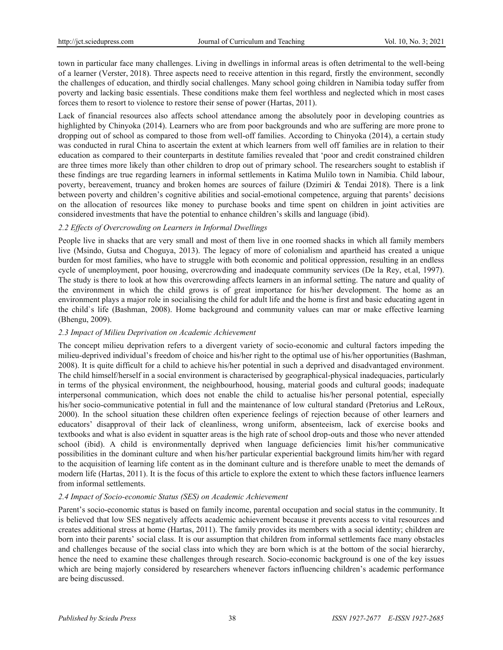town in particular face many challenges. Living in dwellings in informal areas is often detrimental to the well-being of a learner [\(Verster,](https://journals.co.za/search?value1=Pieter+Verster&option1=author&option912=resultCategory&value912=ResearchPublicationContent) 2018). Three aspects need to receive attention in this regard, firstly the environment, secondly the challenges of education, and thirdly social challenges. Many school going children in Namibia today suffer from poverty and lacking basic essentials. These conditions make them feel worthless and neglected which in most cases forces them to resort to violence to restore their sense of power (Hartas, 2011).

Lack of financial resources also affects school attendance among the absolutely poor in developing countries as highlighted by Chinyoka (2014). Learners who are from poor backgrounds and who are suffering are more prone to dropping out of school as compared to those from well-off families. According to Chinyoka (2014), a certain study was conducted in rural China to ascertain the extent at which learners from well off families are in relation to their education as compared to their counterparts in destitute families revealed that 'poor and credit constrained children are three times more likely than other children to drop out of primary school. The researchers sought to establish if these findings are true regarding learners in informal settlements in Katima Mulilo town in Namibia. Child labour, poverty, bereavement, truancy and broken homes are sources of failure (Dzimiri & Tendai 2018). There is a link between poverty and children's cognitive abilities and social-emotional competence, arguing that parents' decisions on the allocation of resources like money to purchase books and time spent on children in joint activities are considered investments that have the potential to enhance children's skills and language (ibid).

# *2.2 Effects of Overcrowding on Learners in Informal Dwellings*

People live in shacks that are very small and most of them live in one roomed shacks in which all family members live (Msindo, Gutsa and Choguya, 2013). The legacy of more of colonialism and apartheid has created a unique burden for most families, who have to struggle with both economic and political oppression, resulting in an endless cycle of unemployment, poor housing, overcrowding and inadequate community services (De la Rey, et.al, 1997). The study is there to look at how this overcrowding affects learners in an informal setting. The nature and quality of the environment in which the child grows is of great importance for his/her development. The home as an environment plays a major role in socialising the child for adult life and the home is first and basic educating agent in the child`s life (Bashman, 2008). Home background and community values can mar or make effective learning (Bhengu, 2009).

## *2.3 Impact of Milieu Deprivation on Academic Achievement*

The concept milieu deprivation refers to a divergent variety of socio-economic and cultural factors impeding the milieu-deprived individual's freedom of choice and his/her right to the optimal use of his/her opportunities (Bashman, 2008). It is quite difficult for a child to achieve his/her potential in such a deprived and disadvantaged environment. The child himself/herself in a social environment is characterised by geographical-physical inadequacies, particularly in terms of the physical environment, the neighbourhood, housing, material goods and cultural goods; inadequate interpersonal communication, which does not enable the child to actualise his/her personal potential, especially his/her socio-communicative potential in full and the maintenance of low cultural standard (Pretorius and LeRoux, 2000). In the school situation these children often experience feelings of rejection because of other learners and educators' disapproval of their lack of cleanliness, wrong uniform, absenteeism, lack of exercise books and textbooks and what is also evident in squatter areas is the high rate of school drop-outs and those who never attended school (ibid). A child is environmentally deprived when language deficiencies limit his/her communicative possibilities in the dominant culture and when his/her particular experiential background limits him/her with regard to the acquisition of learning life content as in the dominant culture and is therefore unable to meet the demands of modern life (Hartas, 2011). It is the focus of this article to explore the extent to which these factors influence learners from informal settlements.

## *2.4 Impact of Socio-economic Status (SES) on Academic Achievement*

Parent's socio-economic status is based on family income, parental occupation and social status in the community. It is believed that low SES negatively affects academic achievement because it prevents access to vital resources and creates additional stress at home (Hartas, 2011). The family provides its members with a social identity; children are born into their parents' social class. It is our assumption that children from informal settlements face many obstacles and challenges because of the social class into which they are born which is at the bottom of the social hierarchy, hence the need to examine these challenges through research. Socio-economic background is one of the key issues which are being majorly considered by researchers whenever factors influencing children's academic performance are being discussed.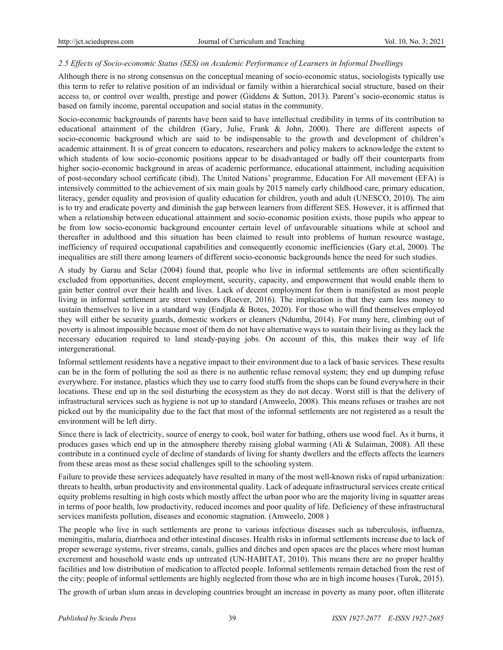## *2.5 Effects of Socio-economic Status (SES) on Academic Performance of Learners in Informal Dwellings*

Although there is no strong consensus on the conceptual meaning of socio-economic status, sociologists typically use this term to refer to relative position of an individual or family within a hierarchical social structure, based on their access to, or control over wealth, prestige and power (Giddens & Sutton, 2013). Parent's socio-economic status is based on family income, parental occupation and social status in the community.

Socio-economic backgrounds of parents have been said to have intellectual credibility in terms of its contribution to educational attainment of the children (Gary, Julie, Frank & John, 2000). There are different aspects of socio-economic background which are said to be indispensable to the growth and development of children's academic attainment. It is of great concern to educators, researchers and policy makers to acknowledge the extent to which students of low socio-economic positions appear to be disadvantaged or badly off their counterparts from higher socio-economic background in areas of academic performance, educational attainment, including acquisition of post-secondary school certificate (ibid). The United Nations' programme, Education For All movement (EFA) is intensively committed to the achievement of six main goals by 2015 namely early childhood care, primary education, literacy, gender equality and provision of quality education for children, youth and adult (UNESCO, 2010). The aim is to try and eradicate poverty and diminish the gap between learners from different SES. However, it is affirmed that when a relationship between educational attainment and socio-economic position exists, those pupils who appear to be from low socio-economic background encounter certain level of unfavourable situations while at school and thereafter in adulthood and this situation has been claimed to result into problems of human resource wastage, inefficiency of required occupational capabilities and consequently economic inefficiencies (Gary et.al, 2000). The inequalities are still there among learners of different socio-economic backgrounds hence the need for such studies.

A study by Garau and Sclar (2004) found that, people who live in informal settlements are often scientifically excluded from opportunities, decent employment, security, capacity, and empowerment that would enable them to gain better control over their health and lives. Lack of decent employment for them is manifested as most people living in informal settlement are street vendors (Roever, 2016). The implication is that they earn less money to sustain themselves to live in a standard way (Endjala & Botes, 2020). For those who will find themselves employed they will either be security guards, domestic workers or cleaners (Ndumba, 2014). For many here, climbing out of poverty is almost impossible because most of them do not have alternative ways to sustain their living as they lack the necessary education required to land steady-paying jobs. On account of this, this makes their way of life intergenerational.

Informal settlement residents have a negative impact to their environment due to a lack of basic services. These results can be in the form of polluting the soil as there is no authentic refuse removal system; they end up dumping refuse everywhere. For instance, plastics which they use to carry food stuffs from the shops can be found everywhere in their locations. These end up in the soil disturbing the ecosystem as they do not decay. Worst still is that the delivery of infrastructural services such as hygiene is not up to standard (Amweelo, 2008). This means refuses or trashes are not picked out by the municipality due to the fact that most of the informal settlements are not registered as a result the environment will be left dirty.

Since there is lack of electricity, source of energy to cook, boil water for bathing, others use wood fuel. As it burns, it produces gases which end up in the atmosphere thereby raising global warming (Ali & Sulaiman, 2008). All these contribute in a continued cycle of decline of standards of living for shanty dwellers and the effects affects the learners from these areas most as these social challenges spill to the schooling system.

Failure to provide these services adequately have resulted in many of the most well-known risks of rapid urbanization: threats to health, urban productivity and environmental quality. Lack of adequate infrastructural services create critical equity problems resulting in high costs which mostly affect the urban poor who are the majority living in squatter areas in terms of poor health, low productivity, reduced incomes and poor quality of life. Deficiency of these infrastructural services manifests pollution, diseases and economic stagnation. (Amweelo, 2008 )

The people who live in such settlements are prone to various infectious diseases such as tuberculosis, influenza, meningitis, malaria, diarrhoea and other intestinal diseases. Health risks in informal settlements increase due to lack of proper sewerage systems, river streams, canals, gullies and ditches and open spaces are the places where most human excrement and household waste ends up untreated (UN-HABITAT, 2010). This means there are no proper healthy facilities and low distribution of medication to affected people. Informal settlements remain detached from the rest of the city; people of informal settlements are highly neglected from those who are in high income houses (Turok, 2015).

The growth of urban slum areas in developing countries brought an increase in poverty as many poor, often illiterate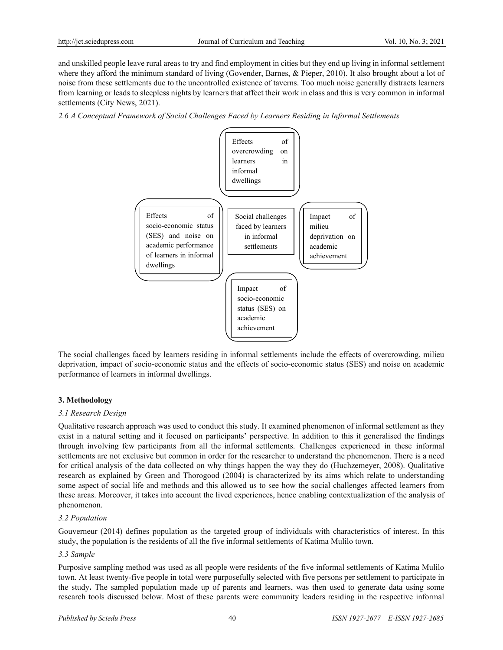and unskilled people leave rural areas to try and find employment in cities but they end up living in informal settlement where they afford the minimum standard of living (Govender, Barnes, & Pieper, 2010). It also brought about a lot of noise from these settlements due to the uncontrolled existence of taverns. Too much noise generally distracts learners from learning or leads to sleepless nights by learners that affect their work in class and this is very common in informal settlements (City News, 2021).

*2.6 A Conceptual Framework of Social Challenges Faced by Learners Residing in Informal Settlements*



The social challenges faced by learners residing in informal settlements include the effects of overcrowding, milieu deprivation, impact of socio-economic status and the effects of socio-economic status (SES) and noise on academic performance of learners in informal dwellings.

## **3. Methodology**

## *3.1 Research Design*

Qualitative research approach was used to conduct this study. It examined phenomenon of informal settlement as they exist in a natural setting and it focused on participants' perspective. In addition to this it generalised the findings through involving few participants from all the informal settlements. Challenges experienced in these informal settlements are not exclusive but common in order for the researcher to understand the phenomenon. There is a need for critical analysis of the data collected on why things happen the way they do (Huchzemeyer, 2008). Qualitative research as explained by Green and Thorogood (2004) is characterized by its aims which relate to understanding some aspect of social life and methods and this allowed us to see how the social challenges affected learners from these areas. Moreover, it takes into account the lived experiences, hence enabling contextualization of the analysis of phenomenon.

## *3.2 Population*

Gouverneur (2014) defines population as the targeted group of individuals with characteristics of interest. In this study, the population is the residents of all the five informal settlements of Katima Mulilo town.

## *3.3 Sample*

Purposive sampling method was used as all people were residents of the five informal settlements of Katima Mulilo town. At least twenty-five people in total were purposefully selected with five persons per settlement to participate in the study**.** The sampled population made up of parents and learners, was then used to generate data using some research tools discussed below. Most of these parents were community leaders residing in the respective informal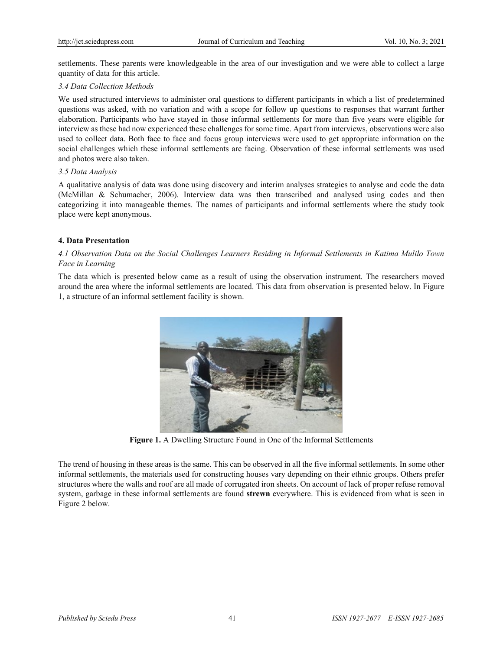settlements. These parents were knowledgeable in the area of our investigation and we were able to collect a large quantity of data for this article.

## *3.4 Data Collection Methods*

We used structured interviews to administer oral questions to different participants in which a list of predetermined questions was asked, with no variation and with a scope for follow up questions to responses that warrant further elaboration. Participants who have stayed in those informal settlements for more than five years were eligible for interview as these had now experienced these challenges for some time. Apart from interviews, observations were also used to collect data. Both face to face and focus group interviews were used to get appropriate information on the social challenges which these informal settlements are facing. Observation of these informal settlements was used and photos were also taken.

## *3.5 Data Analysis*

A qualitative analysis of data was done using discovery and interim analyses strategies to analyse and code the data (McMillan & Schumacher, 2006). Interview data was then transcribed and analysed using codes and then categorizing it into manageable themes. The names of participants and informal settlements where the study took place were kept anonymous.

## **4. Data Presentation**

## *4.1 Observation Data on the Social Challenges Learners Residing in Informal Settlements in Katima Mulilo Town Face in Learning*

The data which is presented below came as a result of using the observation instrument. The researchers moved around the area where the informal settlements are located. This data from observation is presented below. In Figure 1, a structure of an informal settlement facility is shown.



**Figure 1.** A Dwelling Structure Found in One of the Informal Settlements

The trend of housing in these areas is the same. This can be observed in all the five informal settlements. In some other informal settlements, the materials used for constructing houses vary depending on their ethnic groups. Others prefer structures where the walls and roof are all made of corrugated iron sheets. On account of lack of proper refuse removal system, garbage in these informal settlements are found **strewn** everywhere. This is evidenced from what is seen in Figure 2 below.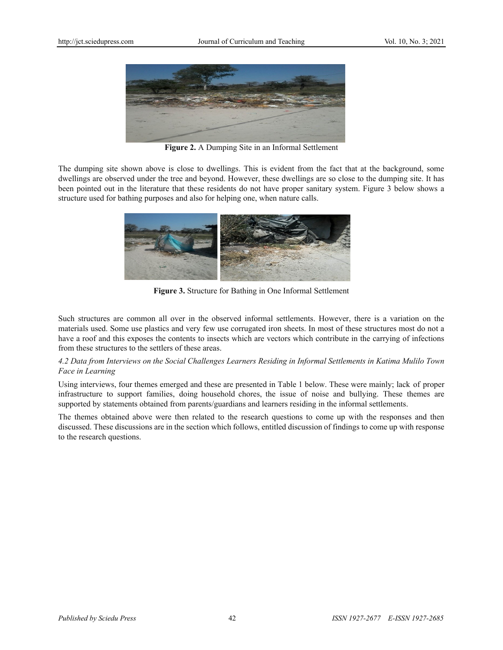

**Figure 2.** A Dumping Site in an Informal Settlement

The dumping site shown above is close to dwellings. This is evident from the fact that at the background, some dwellings are observed under the tree and beyond. However, these dwellings are so close to the dumping site. It has been pointed out in the literature that these residents do not have proper sanitary system. Figure 3 below shows a structure used for bathing purposes and also for helping one, when nature calls.



**Figure 3.** Structure for Bathing in One Informal Settlement

Such structures are common all over in the observed informal settlements. However, there is a variation on the materials used. Some use plastics and very few use corrugated iron sheets. In most of these structures most do not a have a roof and this exposes the contents to insects which are vectors which contribute in the carrying of infections from these structures to the settlers of these areas.

# *4.2 Data from Interviews on the Social Challenges Learners Residing in Informal Settlements in Katima Mulilo Town Face in Learning*

Using interviews, four themes emerged and these are presented in Table 1 below. These were mainly; lack of proper infrastructure to support families, doing household chores, the issue of noise and bullying. These themes are supported by statements obtained from parents/guardians and learners residing in the informal settlements.

The themes obtained above were then related to the research questions to come up with the responses and then discussed. These discussions are in the section which follows, entitled discussion of findings to come up with response to the research questions.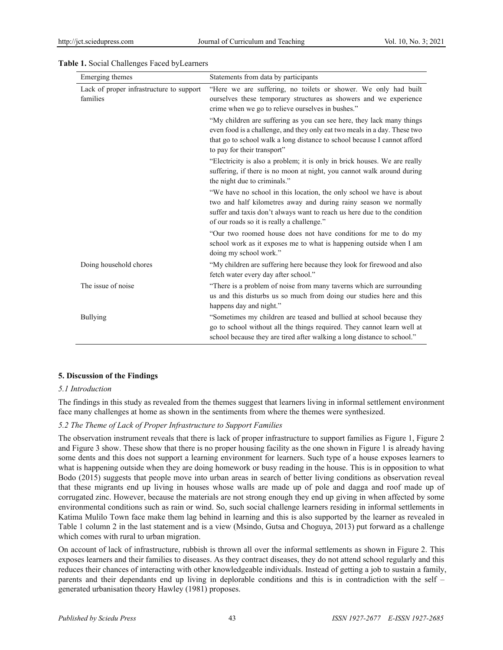| Emerging themes                                      | Statements from data by participants                                                                                                                                                                                                                                |  |
|------------------------------------------------------|---------------------------------------------------------------------------------------------------------------------------------------------------------------------------------------------------------------------------------------------------------------------|--|
| Lack of proper infrastructure to support<br>families | "Here we are suffering, no toilets or shower. We only had built<br>ourselves these temporary structures as showers and we experience<br>crime when we go to relieve ourselves in bushes."                                                                           |  |
|                                                      | "My children are suffering as you can see here, they lack many things<br>even food is a challenge, and they only eat two meals in a day. These two<br>that go to school walk a long distance to school because I cannot afford<br>to pay for their transport"       |  |
|                                                      | "Electricity is also a problem; it is only in brick houses. We are really<br>suffering, if there is no moon at night, you cannot walk around during<br>the night due to criminals."                                                                                 |  |
|                                                      | "We have no school in this location, the only school we have is about<br>two and half kilometres away and during rainy season we normally<br>suffer and taxis don't always want to reach us here due to the condition<br>of our roads so it is really a challenge." |  |
|                                                      | "Our two roomed house does not have conditions for me to do my<br>school work as it exposes me to what is happening outside when I am<br>doing my school work."                                                                                                     |  |
| Doing household chores                               | "My children are suffering here because they look for firewood and also<br>fetch water every day after school."                                                                                                                                                     |  |
| The issue of noise                                   | "There is a problem of noise from many taverns which are surrounding<br>us and this disturbs us so much from doing our studies here and this<br>happens day and night."                                                                                             |  |

#### **Table 1.** Social Challenges Faced byLearners

#### **5. Discussion of the Findings**

#### *5.1 Introduction*

The findings in this study as revealed from the themes suggest that learners living in informal settlement environment face many challenges at home as shown in the sentiments from where the themes were synthesized.

Bullying "Sometimes my children are teased and bullied at school because they

go to school without all the things required. They cannot learn well at school because they are tired after walking a long distance to school."

#### *5.2 The Theme of Lack of Proper Infrastructure to Support Families*

The observation instrument reveals that there is lack of proper infrastructure to support families as Figure 1, Figure 2 and Figure 3 show. These show that there is no proper housing facility as the one shown in Figure 1 is already having some dents and this does not support a learning environment for learners. Such type of a house exposes learners to what is happening outside when they are doing homework or busy reading in the house. This is in opposition to what Bodo (2015) suggests that people move into urban areas in search of better living conditions as observation reveal that these migrants end up living in houses whose walls are made up of pole and dagga and roof made up of corrugated zinc. However, because the materials are not strong enough they end up giving in when affected by some environmental conditions such as rain or wind. So, such social challenge learners residing in informal settlements in Katima Mulilo Town face make them lag behind in learning and this is also supported by the learner as revealed in Table 1 column 2 in the last statement and is a view (Msindo, Gutsa and Choguya, 2013) put forward as a challenge which comes with rural to urban migration.

On account of lack of infrastructure, rubbish is thrown all over the informal settlements as shown in Figure 2. This exposes learners and their families to diseases. As they contract diseases, they do not attend school regularly and this reduces their chances of interacting with other knowledgeable individuals. Instead of getting a job to sustain a family, parents and their dependants end up living in deplorable conditions and this is in contradiction with the self – generated urbanisation theory Hawley (1981) proposes.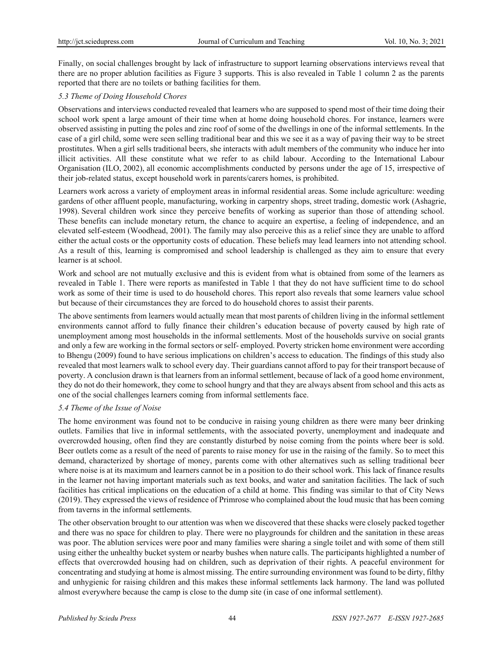Finally, on social challenges brought by lack of infrastructure to support learning observations interviews reveal that there are no proper ablution facilities as Figure 3 supports. This is also revealed in Table 1 column 2 as the parents reported that there are no toilets or bathing facilities for them.

## *5.3 Theme of Doing Household Chores*

Observations and interviews conducted revealed that learners who are supposed to spend most of their time doing their school work spent a large amount of their time when at home doing household chores. For instance, learners were observed assisting in putting the poles and zinc roof of some of the dwellings in one of the informal settlements. In the case of a girl child, some were seen selling traditional bear and this we see it as a way of paving their way to be street prostitutes. When a girl sells traditional beers, she interacts with adult members of the community who induce her into illicit activities. All these constitute what we refer to as child labour. According to the International Labour Organisation (ILO, 2002), all economic accomplishments conducted by persons under the age of 15, irrespective of their job-related status, except household work in parents/carers homes, is prohibited.

Learners work across a variety of employment areas in informal residential areas. Some include agriculture: weeding gardens of other affluent people, manufacturing, working in carpentry shops, street trading, domestic work (Ashagrie, 1998). Several children work since they perceive benefits of working as superior than those of attending school. These benefits can include monetary return, the chance to acquire an expertise, a feeling of independence, and an elevated self‐esteem (Woodhead, 2001). The family may also perceive this as a relief since they are unable to afford either the actual costs or the opportunity costs of education. These beliefs may lead learners into not attending school. As a result of this, learning is compromised and school leadership is challenged as they aim to ensure that every learner is at school.

Work and school are not mutually exclusive and this is evident from what is obtained from some of the learners as revealed in Table 1. There were reports as manifested in Table 1 that they do not have sufficient time to do school work as some of their time is used to do household chores. This report also reveals that some learners value school but because of their circumstances they are forced to do household chores to assist their parents.

The above sentiments from learners would actually mean that most parents of children living in the informal settlement environments cannot afford to fully finance their children's education because of poverty caused by high rate of unemployment among most households in the informal settlements. Most of the households survive on social grants and only a few are working in the formal sectors or self- employed. Poverty stricken home environment were according to Bhengu (2009) found to have serious implications on children's access to education. The findings of this study also revealed that most learners walk to school every day. Their guardians cannot afford to pay for their transport because of poverty. A conclusion drawn is that learners from an informal settlement, because of lack of a good home environment, they do not do their homework, they come to school hungry and that they are always absent from school and this acts as one of the social challenges learners coming from informal settlements face.

## *5.4 Theme of the Issue of Noise*

The home environment was found not to be conducive in raising young children as there were many beer drinking outlets. Families that live in informal settlements, with the associated poverty, unemployment and inadequate and overcrowded housing, often find they are constantly disturbed by noise coming from the points where beer is sold. Beer outlets come as a result of the need of parents to raise money for use in the raising of the family. So to meet this demand, characterized by shortage of money, parents come with other alternatives such as selling traditional beer where noise is at its maximum and learners cannot be in a position to do their school work. This lack of finance results in the learner not having important materials such as text books, and water and sanitation facilities. The lack of such facilities has critical implications on the education of a child at home. This finding was similar to that of City News (2019). They expressed the views of residence of Primrose who complained about the loud music that has been coming from taverns in the informal settlements.

The other observation brought to our attention was when we discovered that these shacks were closely packed together and there was no space for children to play. There were no playgrounds for children and the sanitation in these areas was poor. The ablution services were poor and many families were sharing a single toilet and with some of them still using either the unhealthy bucket system or nearby bushes when nature calls. The participants highlighted a number of effects that overcrowded housing had on children, such as deprivation of their rights. A peaceful environment for concentrating and studying at home is almost missing. The entire surrounding environment was found to be dirty, filthy and unhygienic for raising children and this makes these informal settlements lack harmony. The land was polluted almost everywhere because the camp is close to the dump site (in case of one informal settlement).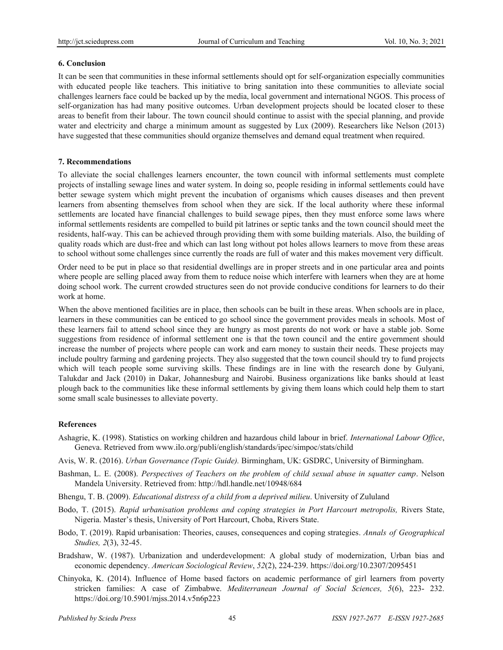## **6. Conclusion**

It can be seen that communities in these informal settlements should opt for self-organization especially communities with educated people like teachers. This initiative to bring sanitation into these communities to alleviate social challenges learners face could be backed up by the media, local government and international NGOS. This process of self-organization has had many positive outcomes. Urban development projects should be located closer to these areas to benefit from their labour. The town council should continue to assist with the special planning, and provide water and electricity and charge a minimum amount as suggested by Lux (2009). Researchers like Nelson (2013) have suggested that these communities should organize themselves and demand equal treatment when required.

## **7. Recommendations**

To alleviate the social challenges learners encounter, the town council with informal settlements must complete projects of installing sewage lines and water system. In doing so, people residing in informal settlements could have better sewage system which might prevent the incubation of organisms which causes diseases and then prevent learners from absenting themselves from school when they are sick. If the local authority where these informal settlements are located have financial challenges to build sewage pipes, then they must enforce some laws where informal settlements residents are compelled to build pit latrines or septic tanks and the town council should meet the residents, half-way. This can be achieved through providing them with some building materials. Also, the building of quality roads which are dust-free and which can last long without pot holes allows learners to move from these areas to school without some challenges since currently the roads are full of water and this makes movement very difficult.

Order need to be put in place so that residential dwellings are in proper streets and in one particular area and points where people are selling placed away from them to reduce noise which interfere with learners when they are at home doing school work. The current crowded structures seen do not provide conducive conditions for learners to do their work at home.

When the above mentioned facilities are in place, then schools can be built in these areas. When schools are in place, learners in these communities can be enticed to go school since the government provides meals in schools. Most of these learners fail to attend school since they are hungry as most parents do not work or have a stable job. Some suggestions from residence of informal settlement one is that the town council and the entire government should increase the number of projects where people can work and earn money to sustain their needs. These projects may include poultry farming and gardening projects. They also suggested that the town council should try to fund projects which will teach people some surviving skills. These findings are in line with the research done by Gulyani, Talukdar and Jack (2010) in Dakar, Johannesburg and Nairobi. Business organizations like banks should at least plough back to the communities like these informal settlements by giving them loans which could help them to start some small scale businesses to alleviate poverty.

## **References**

- Ashagrie, K. (1998). Statistics on working children and hazardous child labour in brief. *International Labour Office*, Geneva. Retrieved from [www.ilo.org/publi/english/standards/ipec/simpoc/stats/child](http://www.ilo.org/publi/english/standards/ipec/simpoc/stats/child)
- Avis, W. R. (2016). *Urban Governance (Topic Guide).* Birmingham, UK: GSDRC, University of Birmingham.
- Bashman, L. E. (2008). *Perspectives of Teachers on the problem of child sexual abuse in squatter camp*. Nelson Mandela University. Retrieved from: http://hdl.handle.net/10948/684
- Bhengu, T. B. (2009). *Educational distress of a child from a deprived milieu*. University of Zululand
- Bodo, T. (2015). *Rapid urbanisation problems and coping strategies in Port Harcourt metropolis,* Rivers State, Nigeria. Master's thesis, University of Port Harcourt, Choba, Rivers State.
- Bodo, T. (2019). Rapid urbanisation: Theories, causes, consequences and coping strategies. *Annals of Geographical Studies, 2*(3), 32-45.
- Bradshaw, W. (1987). Urbanization and underdevelopment: A global study of modernization, Urban bias and economic dependency. *American Sociological Review*, *52*(2), 224-239. https://doi.org/10.2307/2095451
- Chinyoka, K. (2014). Influence of Home based factors on academic performance of girl learners from poverty stricken families: A case of Zimbabwe. *Mediterranean Journal of Social Sciences, 5*(6), 223- 232. https://doi.org/10.5901/mjss.2014.v5n6p223